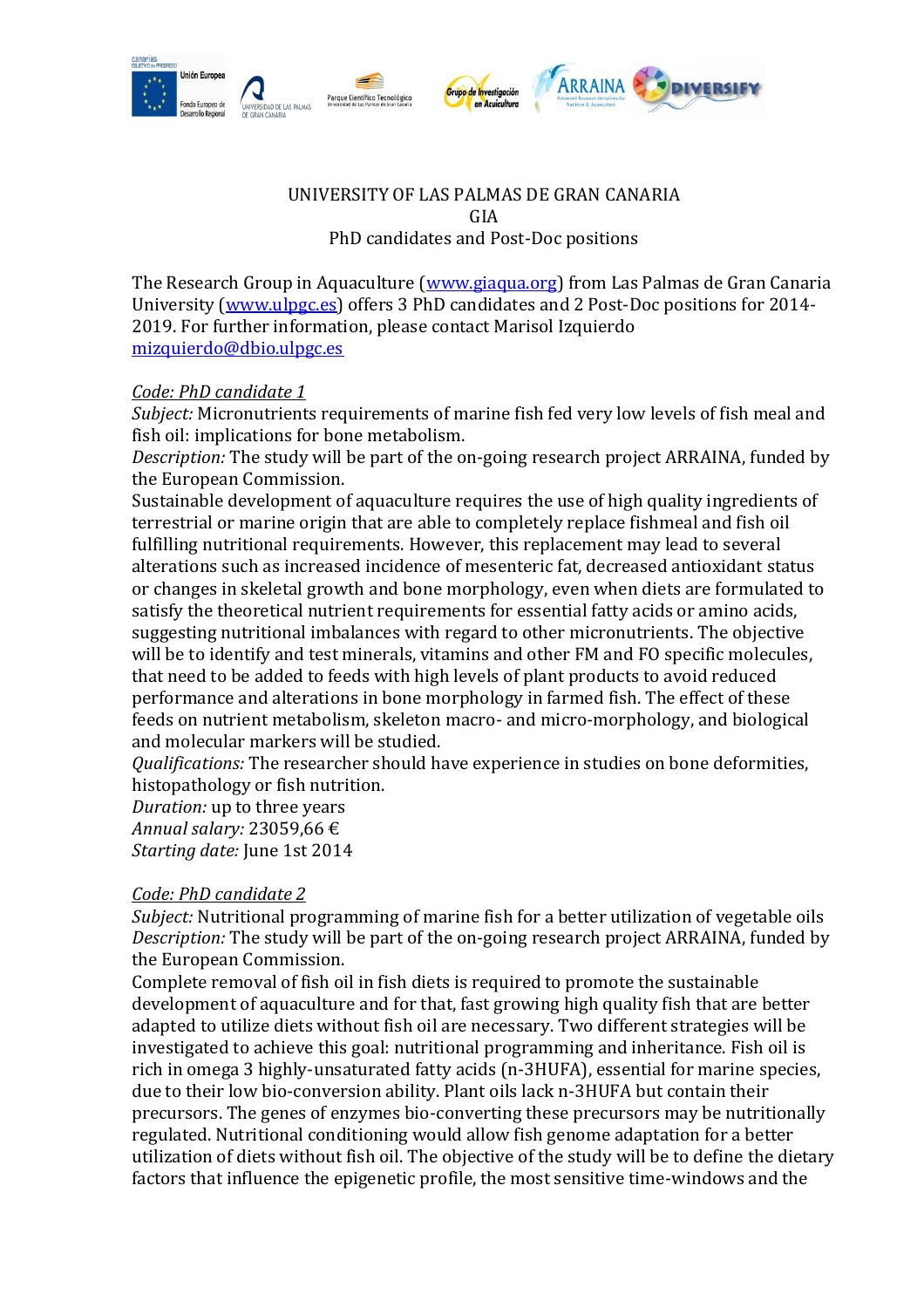

# UNIVERSITY OF LAS PALMAS DE GRAN CANARIA

GIA PhD candidates and Post-Doc positions

The Research Group in Aquaculture [\(www.giaqua.org\)](http://www.giaqua.org/) from Las Palmas de Gran Canaria University [\(www.ulpgc.es\)](http://www.ulpgc.es/) offers 3 PhD candidates and 2 Post-Doc positions for 2014- 2019. For further information, please contact Marisol Izquierdo [mizquierdo@dbio.ulpgc.es](mailto:mizquierdo@dbio.ulpgc.es)

## *Code: PhD candidate 1*

*Subject:* Micronutrients requirements of marine fish fed very low levels of fish meal and fish oil: implications for bone metabolism.

*Description:* The study will be part of the on-going research project ARRAINA, funded by the European Commission.

Sustainable development of aquaculture requires the use of high quality ingredients of terrestrial or marine origin that are able to completely replace fishmeal and fish oil fulfilling nutritional requirements. However, this replacement may lead to several alterations such as increased incidence of mesenteric fat, decreased antioxidant status or changes in skeletal growth and bone morphology, even when diets are formulated to satisfy the theoretical nutrient requirements for essential fatty acids or amino acids, suggesting nutritional imbalances with regard to other micronutrients. The objective will be to identify and test minerals, vitamins and other FM and FO specific molecules, that need to be added to feeds with high levels of plant products to avoid reduced performance and alterations in bone morphology in farmed fish. The effect of these feeds on nutrient metabolism, skeleton macro- and micro-morphology, and biological and molecular markers will be studied.

*Qualifications:* The researcher should have experience in studies on bone deformities, histopathology or fish nutrition.

*Duration:* up to three years *Annual salary:* 23059,66 € *Starting date:* June 1st 2014

#### *Code: PhD candidate 2*

*Subject:* Nutritional programming of marine fish for a better utilization of vegetable oils *Description:* The study will be part of the on-going research project ARRAINA, funded by the European Commission.

Complete removal of fish oil in fish diets is required to promote the sustainable development of aquaculture and for that, fast growing high quality fish that are better adapted to utilize diets without fish oil are necessary. Two different strategies will be investigated to achieve this goal: nutritional programming and inheritance. Fish oil is rich in omega 3 highly-unsaturated fatty acids (n-3HUFA), essential for marine species, due to their low bio-conversion ability. Plant oils lack n-3HUFA but contain their precursors. The genes of enzymes bio-converting these precursors may be nutritionally regulated. Nutritional conditioning would allow fish genome adaptation for a better utilization of diets without fish oil. The objective of the study will be to define the dietary factors that influence the epigenetic profile, the most sensitive time-windows and the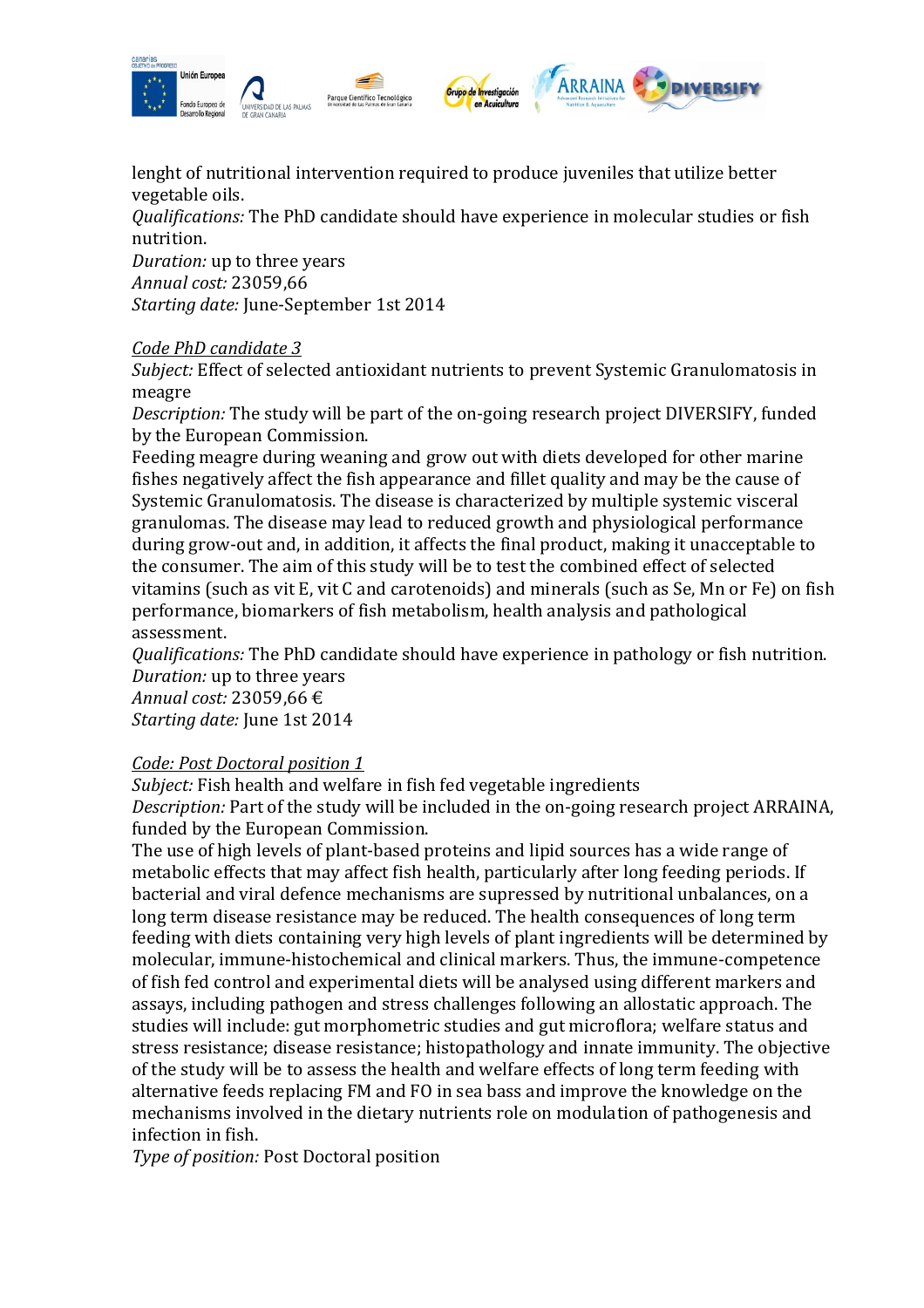

**ARRAINA** 

lenght of nutritional intervention required to produce juveniles that utilize better vegetable oils.

*Qualifications:* The PhD candidate should have experience in molecular studies or fish nutrition.

*Duration:* up to three years *Annual cost:* 23059,66 *Starting date:* June-September 1st 2014

## *Code PhD candidate 3*

*Subject:* Effect of selected antioxidant nutrients to prevent Systemic Granulomatosis in meagre

*Description:* The study will be part of the on-going research project DIVERSIFY, funded by the European Commission.

Feeding meagre during weaning and grow out with diets developed for other marine fishes negatively affect the fish appearance and fillet quality and may be the cause of Systemic Granulomatosis. The disease is characterized by multiple systemic visceral granulomas. The disease may lead to reduced growth and physiological performance during grow-out and, in addition, it affects the final product, making it unacceptable to the consumer. The aim of this study will be to test the combined effect of selected vitamins (such as vit E, vit C and carotenoids) and minerals (such as Se, Mn or Fe) on fish performance, biomarkers of fish metabolism, health analysis and pathological assessment.

*Qualifications:* The PhD candidate should have experience in pathology or fish nutrition. *Duration:* up to three years

*Annual cost:* 23059,66 € *Starting date:* June 1st 2014

## *Code: Post Doctoral position 1*

*Subject:* Fish health and welfare in fish fed vegetable ingredients *Description:* Part of the study will be included in the on-going research project ARRAINA, funded by the European Commission.

The use of high levels of plant-based proteins and lipid sources has a wide range of metabolic effects that may affect fish health, particularly after long feeding periods. If bacterial and viral defence mechanisms are supressed by nutritional unbalances, on a long term disease resistance may be reduced. The health consequences of long term feeding with diets containing very high levels of plant ingredients will be determined by molecular, immune-histochemical and clinical markers. Thus, the immune-competence of fish fed control and experimental diets will be analysed using different markers and assays, including pathogen and stress challenges following an allostatic approach. The studies will include: gut morphometric studies and gut microflora; welfare status and stress resistance; disease resistance; histopathology and innate immunity. The objective of the study will be to assess the health and welfare effects of long term feeding with alternative feeds replacing FM and FO in sea bass and improve the knowledge on the mechanisms involved in the dietary nutrients role on modulation of pathogenesis and infection in fish.

*Type of position:* Post Doctoral position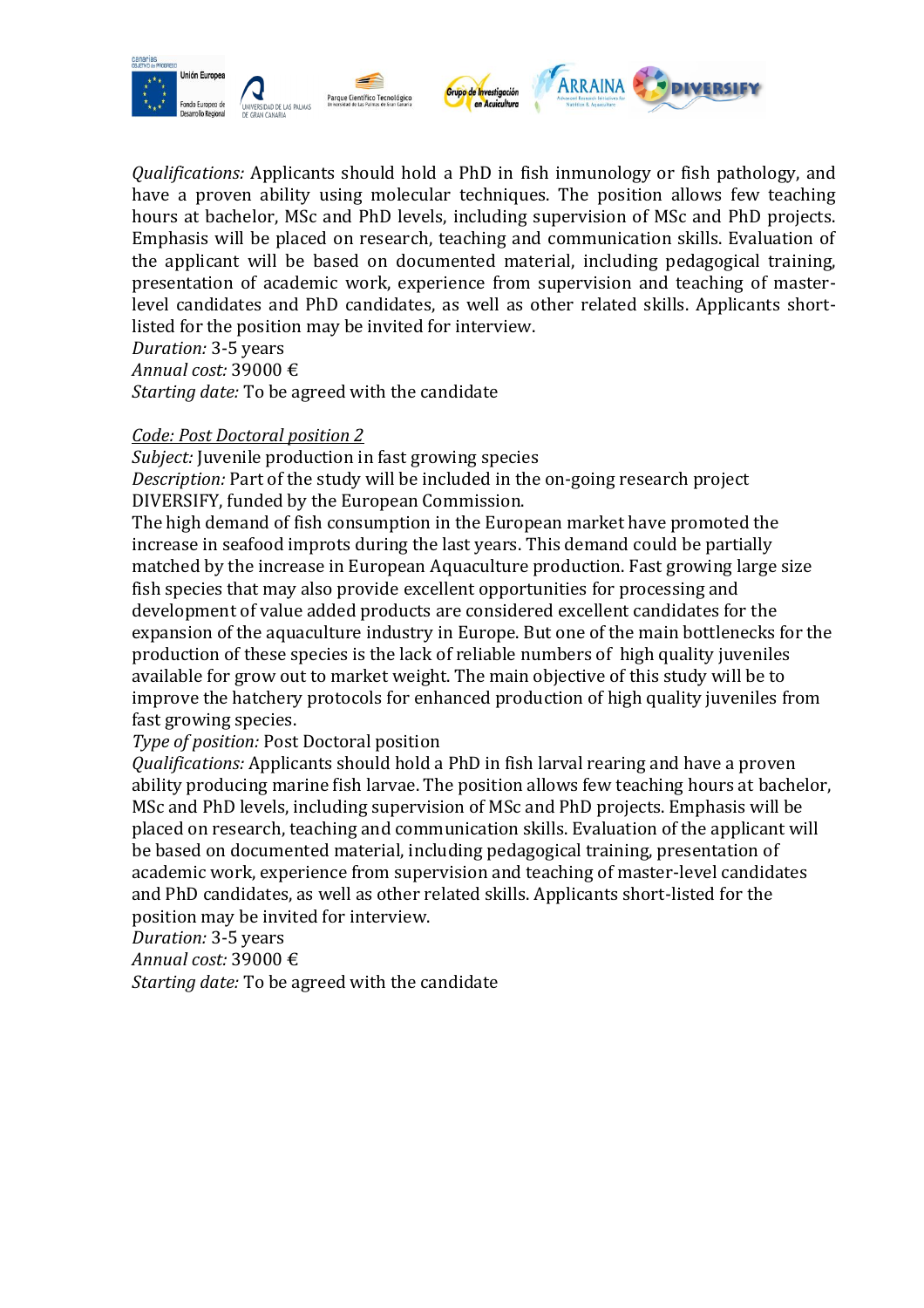

*Qualifications:* Applicants should hold a PhD in fish inmunology or fish pathology, and have a proven ability using molecular techniques. The position allows few teaching hours at bachelor, MSc and PhD levels, including supervision of MSc and PhD projects. Emphasis will be placed on research, teaching and communication skills. Evaluation of the applicant will be based on documented material, including pedagogical training, presentation of academic work, experience from supervision and teaching of masterlevel candidates and PhD candidates, as well as other related skills. Applicants shortlisted for the position may be invited for interview.

*Duration:* 3-5 years

*Annual cost:* 39000 €

*Starting date:* To be agreed with the candidate

#### *Code: Post Doctoral position 2*

*Subject:* Juvenile production in fast growing species *Description:* Part of the study will be included in the on-going research project

DIVERSIFY, funded by the European Commission.

The high demand of fish consumption in the European market have promoted the increase in seafood improts during the last years. This demand could be partially matched by the increase in European Aquaculture production. Fast growing large size fish species that may also provide excellent opportunities for processing and development of value added products are considered excellent candidates for the expansion of the aquaculture industry in Europe. But one of the main bottlenecks for the production of these species is the lack of reliable numbers of high quality juveniles available for grow out to market weight. The main objective of this study will be to improve the hatchery protocols for enhanced production of high quality juveniles from fast growing species.

*Type of position:* Post Doctoral position

*Qualifications:* Applicants should hold a PhD in fish larval rearing and have a proven ability producing marine fish larvae. The position allows few teaching hours at bachelor, MSc and PhD levels, including supervision of MSc and PhD projects. Emphasis will be placed on research, teaching and communication skills. Evaluation of the applicant will be based on documented material, including pedagogical training, presentation of academic work, experience from supervision and teaching of master-level candidates and PhD candidates, as well as other related skills. Applicants short-listed for the position may be invited for interview.

*Duration:* 3-5 years

*Annual cost:* 39000 €

*Starting date:* To be agreed with the candidate